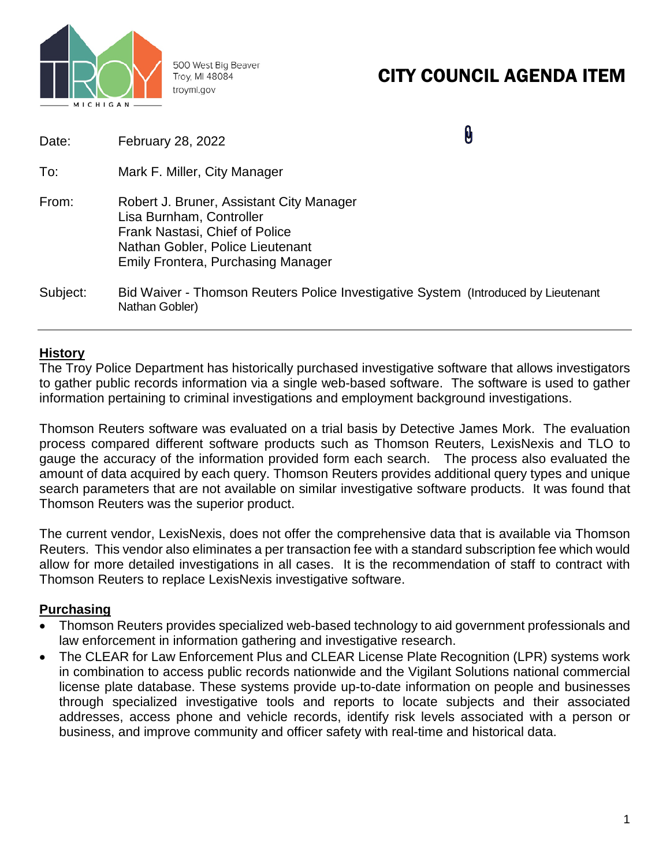

500 West Big Beaver Troy, MI 48084 troymi.gov

# CITY COUNCIL AGENDA ITEM

| Date:    | February 28, 2022                                                                                                                                                                       | Ũ |
|----------|-----------------------------------------------------------------------------------------------------------------------------------------------------------------------------------------|---|
| To:      | Mark F. Miller, City Manager                                                                                                                                                            |   |
| From:    | Robert J. Bruner, Assistant City Manager<br>Lisa Burnham, Controller<br>Frank Nastasi, Chief of Police<br>Nathan Gobler, Police Lieutenant<br><b>Emily Frontera, Purchasing Manager</b> |   |
| Subject: | Bid Waiver - Thomson Reuters Police Investigative System (Introduced by Lieutenant<br>Nathan Gobler)                                                                                    |   |

## **History**

The Troy Police Department has historically purchased investigative software that allows investigators to gather public records information via a single web-based software. The software is used to gather information pertaining to criminal investigations and employment background investigations.

Thomson Reuters software was evaluated on a trial basis by Detective James Mork. The evaluation process compared different software products such as Thomson Reuters, LexisNexis and TLO to gauge the accuracy of the information provided form each search. The process also evaluated the amount of data acquired by each query. Thomson Reuters provides additional query types and unique search parameters that are not available on similar investigative software products. It was found that Thomson Reuters was the superior product.

The current vendor, LexisNexis, does not offer the comprehensive data that is available via Thomson Reuters. This vendor also eliminates a per transaction fee with a standard subscription fee which would allow for more detailed investigations in all cases. It is the recommendation of staff to contract with Thomson Reuters to replace LexisNexis investigative software.

# **Purchasing**

- Thomson Reuters provides specialized web-based technology to aid government professionals and law enforcement in information gathering and investigative research.
- The CLEAR for Law Enforcement Plus and CLEAR License Plate Recognition (LPR) systems work in combination to access public records nationwide and the Vigilant Solutions national commercial license plate database. These systems provide up-to-date information on people and businesses through specialized investigative tools and reports to locate subjects and their associated addresses, access phone and vehicle records, identify risk levels associated with a person or business, and improve community and officer safety with real-time and historical data.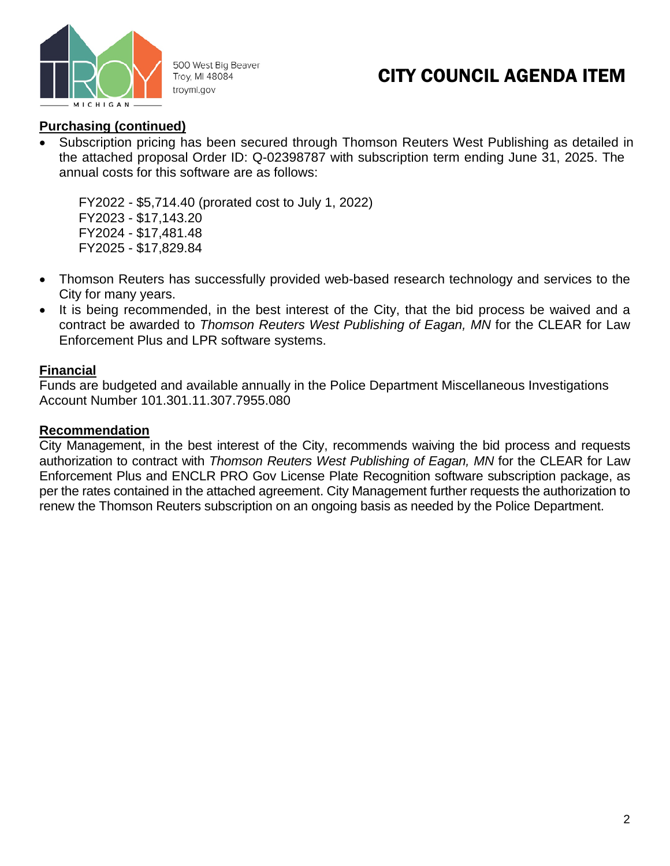

500 West Big Beaver Troy, MI 48084 troymi.gov

# CITY COUNCIL AGENDA ITEM

### **Purchasing (continued)**

• Subscription pricing has been secured through Thomson Reuters West Publishing as detailed in the attached proposal Order ID: Q-02398787 with subscription term ending June 31, 2025. The annual costs for this software are as follows:

FY2022 - \$5,714.40 (prorated cost to July 1, 2022) FY2023 - \$17,143.20 FY2024 - \$17,481.48 FY2025 - \$17,829.84

- Thomson Reuters has successfully provided web-based research technology and services to the City for many years.
- It is being recommended, in the best interest of the City, that the bid process be waived and a contract be awarded to *Thomson Reuters West Publishing of Eagan, MN* for the CLEAR for Law Enforcement Plus and LPR software systems.

### **Financial**

Funds are budgeted and available annually in the Police Department Miscellaneous Investigations Account Number 101.301.11.307.7955.080

### **Recommendation**

City Management, in the best interest of the City, recommends waiving the bid process and requests authorization to contract with *Thomson Reuters West Publishing of Eagan, MN* for the CLEAR for Law Enforcement Plus and ENCLR PRO Gov License Plate Recognition software subscription package, as per the rates contained in the attached agreement. City Management further requests the authorization to renew the Thomson Reuters subscription on an ongoing basis as needed by the Police Department.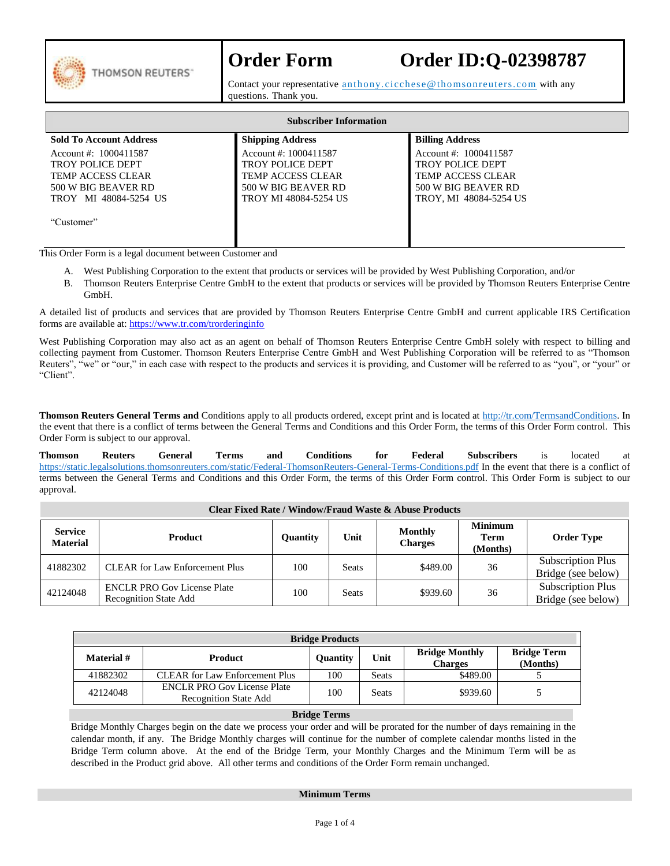

# **Order Form Order ID:Q-02398787**

Contact your representative anthony.cicchese@thomsonreuters.com with any questions. Thank you.

| <b>Subscriber Information</b>  |                              |                          |  |  |  |  |  |
|--------------------------------|------------------------------|--------------------------|--|--|--|--|--|
| <b>Sold To Account Address</b> | <b>Shipping Address</b>      | <b>Billing Address</b>   |  |  |  |  |  |
| Account #: 1000411587          | Account #: 1000411587        | Account #: 1000411587    |  |  |  |  |  |
| <b>TROY POLICE DEPT</b>        | <b>TROY POLICE DEPT</b>      | <b>TROY POLICE DEPT</b>  |  |  |  |  |  |
| TEMP ACCESS CLEAR              | <b>TEMP ACCESS CLEAR</b>     | <b>TEMP ACCESS CLEAR</b> |  |  |  |  |  |
| 500 W BIG BEAVER RD            | 500 W BIG BEAVER RD          | 500 W BIG BEAVER RD      |  |  |  |  |  |
| MI 48084-5254 US<br>TROY -     | <b>TROY MI 48084-5254 US</b> | TROY, MI 48084-5254 US   |  |  |  |  |  |
|                                |                              |                          |  |  |  |  |  |
| "Customer"                     |                              |                          |  |  |  |  |  |
|                                |                              |                          |  |  |  |  |  |

This Order Form is a legal document between Customer and

- A. West Publishing Corporation to the extent that products or services will be provided by West Publishing Corporation, and/or
- B. Thomson Reuters Enterprise Centre GmbH to the extent that products or services will be provided by Thomson Reuters Enterprise Centre GmbH.

A detailed list of products and services that are provided by Thomson Reuters Enterprise Centre GmbH and current applicable IRS Certification forms are available at[: https://www.tr.com/trorderinginfo](https://www.tr.com/trorderinginfo)

West Publishing Corporation may also act as an agent on behalf of Thomson Reuters Enterprise Centre GmbH solely with respect to billing and collecting payment from Customer. Thomson Reuters Enterprise Centre GmbH and West Publishing Corporation will be referred to as "Thomson Reuters", "we" or "our," in each case with respect to the products and services it is providing, and Customer will be referred to as "you", or "your" or "Client".

**Thomson Reuters General Terms and** Conditions apply to all products ordered, except print and is located at [http://tr.com/TermsandConditions.](http://tr.com/TermsandConditions) In the event that there is a conflict of terms between the General Terms and Conditions and this Order Form, the terms of this Order Form control. This Order Form is subject to our approval.

**Thomson Reuters General Terms and Conditions for Federal Subscribers** is located at <https://static.legalsolutions.thomsonreuters.com/static/Federal-ThomsonReuters-General-Terms-Conditions.pdf> In the event that there is a conflict of terms between the General Terms and Conditions and this Order Form, the terms of this Order Form control. This Order Form is subject to our approval.

| <b>Clear Fixed Rate / Window/Fraud Waste &amp; Abuse Products</b> |                                                                    |                 |                                          |          |                                    |                                                |  |  |
|-------------------------------------------------------------------|--------------------------------------------------------------------|-----------------|------------------------------------------|----------|------------------------------------|------------------------------------------------|--|--|
| <b>Service</b><br><b>Material</b>                                 | <b>Product</b>                                                     | <b>Ouantity</b> | <b>Monthly</b><br>Unit<br><b>Charges</b> |          | <b>Minimum</b><br>Term<br>(Months) | <b>Order Type</b>                              |  |  |
| 41882302                                                          | <b>CLEAR</b> for Law Enforcement Plus                              | 100             | <b>Seats</b>                             | \$489.00 | 36                                 | <b>Subscription Plus</b><br>Bridge (see below) |  |  |
| 42124048                                                          | <b>ENCLR PRO Gov License Plate</b><br><b>Recognition State Add</b> | 100             | <b>Seats</b>                             | \$939.60 | 36                                 | <b>Subscription Plus</b><br>Bridge (see below) |  |  |

| <b>Bridge Products</b>       |                                                                    |                 |              |                                         |                                |  |  |  |
|------------------------------|--------------------------------------------------------------------|-----------------|--------------|-----------------------------------------|--------------------------------|--|--|--|
| Material #<br><b>Product</b> |                                                                    | <b>Ouantity</b> | Unit         | <b>Bridge Monthly</b><br><b>Charges</b> | <b>Bridge Term</b><br>(Months) |  |  |  |
| 41882302                     | <b>CLEAR</b> for Law Enforcement Plus                              | 100             | <b>Seats</b> | \$489.00                                |                                |  |  |  |
| 42124048                     | <b>ENCLR PRO Gov License Plate</b><br><b>Recognition State Add</b> | 100             | <b>Seats</b> | \$939.60                                |                                |  |  |  |

#### **Bridge Terms**

Bridge Monthly Charges begin on the date we process your order and will be prorated for the number of days remaining in the calendar month, if any. The Bridge Monthly charges will continue for the number of complete calendar months listed in the Bridge Term column above. At the end of the Bridge Term, your Monthly Charges and the Minimum Term will be as described in the Product grid above. All other terms and conditions of the Order Form remain unchanged.

#### **Minimum Terms**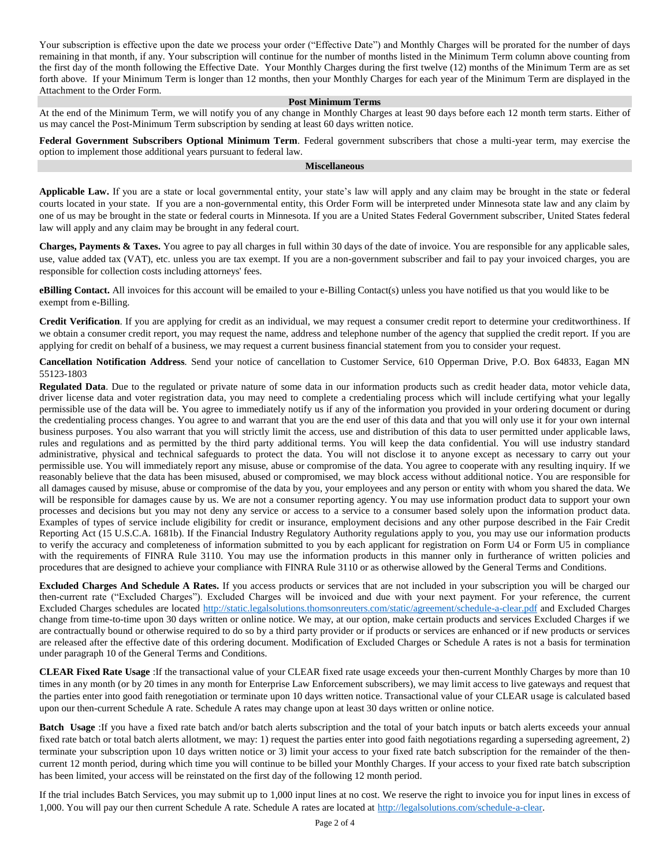Your subscription is effective upon the date we process your order ("Effective Date") and Monthly Charges will be prorated for the number of days remaining in that month, if any. Your subscription will continue for the number of months listed in the Minimum Term column above counting from the first day of the month following the Effective Date. Your Monthly Charges during the first twelve (12) months of the Minimum Term are as set forth above. If your Minimum Term is longer than 12 months, then your Monthly Charges for each year of the Minimum Term are displayed in the Attachment to the Order Form.

#### **Post Minimum Terms**

At the end of the Minimum Term, we will notify you of any change in Monthly Charges at least 90 days before each 12 month term starts. Either of us may cancel the Post-Minimum Term subscription by sending at least 60 days written notice.

**Federal Government Subscribers Optional Minimum Term**. Federal government subscribers that chose a multi-year term, may exercise the option to implement those additional years pursuant to federal law.

#### **Miscellaneous**

**Applicable Law.** If you are a state or local governmental entity, your state's law will apply and any claim may be brought in the state or federal courts located in your state. If you are a non-governmental entity, this Order Form will be interpreted under Minnesota state law and any claim by one of us may be brought in the state or federal courts in Minnesota. If you are a United States Federal Government subscriber, United States federal law will apply and any claim may be brought in any federal court.

**Charges, Payments & Taxes.** You agree to pay all charges in full within 30 days of the date of invoice. You are responsible for any applicable sales, use, value added tax (VAT), etc. unless you are tax exempt. If you are a non-government subscriber and fail to pay your invoiced charges, you are responsible for collection costs including attorneys' fees.

**eBilling Contact.** All invoices for this account will be emailed to your e-Billing Contact(s) unless you have notified us that you would like to be exempt from e-Billing.

**Credit Verification**. If you are applying for credit as an individual, we may request a consumer credit report to determine your creditworthiness. If we obtain a consumer credit report, you may request the name, address and telephone number of the agency that supplied the credit report. If you are applying for credit on behalf of a business, we may request a current business financial statement from you to consider your request.

**Cancellation Notification Address***.* Send your notice of cancellation to Customer Service, 610 Opperman Drive, P.O. Box 64833, Eagan MN 55123-1803

**Regulated Data**. Due to the regulated or private nature of some data in our information products such as credit header data, motor vehicle data, driver license data and voter registration data, you may need to complete a credentialing process which will include certifying what your legally permissible use of the data will be. You agree to immediately notify us if any of the information you provided in your ordering document or during the credentialing process changes. You agree to and warrant that you are the end user of this data and that you will only use it for your own internal business purposes. You also warrant that you will strictly limit the access, use and distribution of this data to user permitted under applicable laws, rules and regulations and as permitted by the third party additional terms. You will keep the data confidential. You will use industry standard administrative, physical and technical safeguards to protect the data. You will not disclose it to anyone except as necessary to carry out your permissible use. You will immediately report any misuse, abuse or compromise of the data. You agree to cooperate with any resulting inquiry. If we reasonably believe that the data has been misused, abused or compromised, we may block access without additional notice. You are responsible for all damages caused by misuse, abuse or compromise of the data by you, your employees and any person or entity with whom you shared the data. We will be responsible for damages cause by us. We are not a consumer reporting agency. You may use information product data to support your own processes and decisions but you may not deny any service or access to a service to a consumer based solely upon the information product data. Examples of types of service include eligibility for credit or insurance, employment decisions and any other purpose described in the Fair Credit Reporting Act (15 U.S.C.A. 1681b). If the Financial Industry Regulatory Authority regulations apply to you, you may use our information products to verify the accuracy and completeness of information submitted to you by each applicant for registration on Form U4 or Form U5 in compliance with the requirements of FINRA Rule 3110. You may use the information products in this manner only in furtherance of written policies and procedures that are designed to achieve your compliance with FINRA Rule 3110 or as otherwise allowed by the General Terms and Conditions.

**Excluded Charges And Schedule A Rates.** If you access products or services that are not included in your subscription you will be charged our then-current rate ("Excluded Charges"). Excluded Charges will be invoiced and due with your next payment. For your reference, the current Excluded Charges schedules are located<http://static.legalsolutions.thomsonreuters.com/static/agreement/schedule-a-clear.pdf> and Excluded Charges change from time-to-time upon 30 days written or online notice. We may, at our option, make certain products and services Excluded Charges if we are contractually bound or otherwise required to do so by a third party provider or if products or services are enhanced or if new products or services are released after the effective date of this ordering document. Modification of Excluded Charges or Schedule A rates is not a basis for termination under paragraph 10 of the General Terms and Conditions.

**CLEAR Fixed Rate Usage** :If the transactional value of your CLEAR fixed rate usage exceeds your then-current Monthly Charges by more than 10 times in any month (or by 20 times in any month for Enterprise Law Enforcement subscribers), we may limit access to live gateways and request that the parties enter into good faith renegotiation or terminate upon 10 days written notice. Transactional value of your CLEAR usage is calculated based upon our then-current Schedule A rate. Schedule A rates may change upon at least 30 days written or online notice.

**Batch Usage** :If you have a fixed rate batch and/or batch alerts subscription and the total of your batch inputs or batch alerts exceeds your annual fixed rate batch or total batch alerts allotment, we may: 1) request the parties enter into good faith negotiations regarding a superseding agreement, 2) terminate your subscription upon 10 days written notice or 3) limit your access to your fixed rate batch subscription for the remainder of the thencurrent 12 month period, during which time you will continue to be billed your Monthly Charges. If your access to your fixed rate batch subscription has been limited, your access will be reinstated on the first day of the following 12 month period.

If the trial includes Batch Services, you may submit up to 1,000 input lines at no cost. We reserve the right to invoice you for input lines in excess of 1,000. You will pay our then current Schedule A rate. Schedule A rates are located at [http://legalsolutions.com/schedule-a-clear.](http://legalsolutions.com/schedule-a-clear)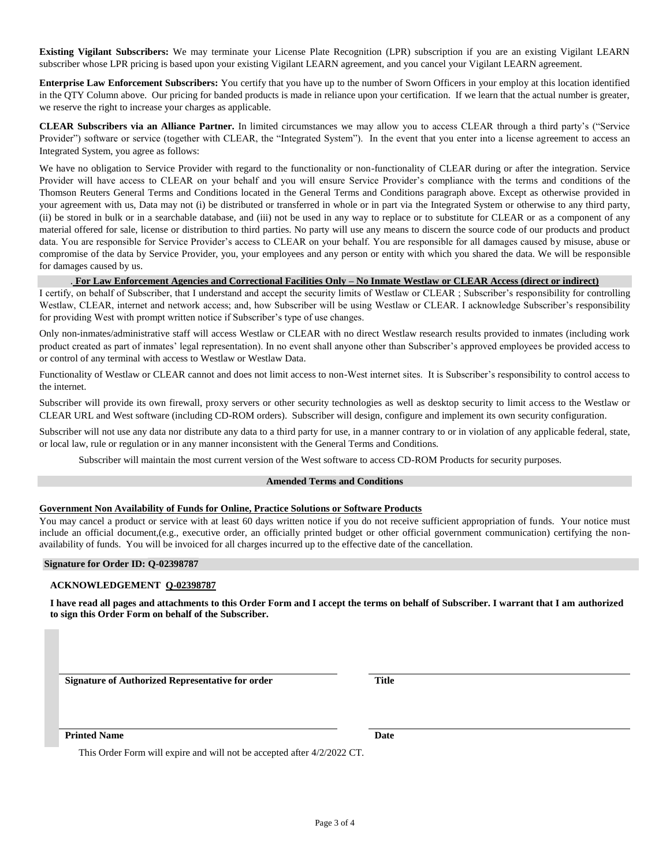**Existing Vigilant Subscribers:** We may terminate your License Plate Recognition (LPR) subscription if you are an existing Vigilant LEARN subscriber whose LPR pricing is based upon your existing Vigilant LEARN agreement, and you cancel your Vigilant LEARN agreement.

**Enterprise Law Enforcement Subscribers:** You certify that you have up to the number of Sworn Officers in your employ at this location identified in the QTY Column above. Our pricing for banded products is made in reliance upon your certification. If we learn that the actual number is greater, we reserve the right to increase your charges as applicable.

**CLEAR Subscribers via an Alliance Partner.** In limited circumstances we may allow you to access CLEAR through a third party's ("Service Provider") software or service (together with CLEAR, the "Integrated System"). In the event that you enter into a license agreement to access an Integrated System, you agree as follows:

We have no obligation to Service Provider with regard to the functionality or non-functionality of CLEAR during or after the integration. Service Provider will have access to CLEAR on your behalf and you will ensure Service Provider's compliance with the terms and conditions of the Thomson Reuters General Terms and Conditions located in the General Terms and Conditions paragraph above. Except as otherwise provided in your agreement with us, Data may not (i) be distributed or transferred in whole or in part via the Integrated System or otherwise to any third party, (ii) be stored in bulk or in a searchable database, and (iii) not be used in any way to replace or to substitute for CLEAR or as a component of any material offered for sale, license or distribution to third parties. No party will use any means to discern the source code of our products and product data. You are responsible for Service Provider's access to CLEAR on your behalf. You are responsible for all damages caused by misuse, abuse or compromise of the data by Service Provider, you, your employees and any person or entity with which you shared the data. We will be responsible for damages caused by us.

#### . **For Law Enforcement Agencies and Correctional Facilities Only – No Inmate Westlaw or CLEAR Access (direct or indirect)**

I certify, on behalf of Subscriber, that I understand and accept the security limits of Westlaw or CLEAR ; Subscriber's responsibility for controlling Westlaw, CLEAR, internet and network access; and, how Subscriber will be using Westlaw or CLEAR. I acknowledge Subscriber's responsibility for providing West with prompt written notice if Subscriber's type of use changes.

Only non-inmates/administrative staff will access Westlaw or CLEAR with no direct Westlaw research results provided to inmates (including work product created as part of inmates' legal representation). In no event shall anyone other than Subscriber's approved employees be provided access to or control of any terminal with access to Westlaw or Westlaw Data.

Functionality of Westlaw or CLEAR cannot and does not limit access to non-West internet sites. It is Subscriber's responsibility to control access to the internet.

Subscriber will provide its own firewall, proxy servers or other security technologies as well as desktop security to limit access to the Westlaw or CLEAR URL and West software (including CD-ROM orders). Subscriber will design, configure and implement its own security configuration.

Subscriber will not use any data nor distribute any data to a third party for use, in a manner contrary to or in violation of any applicable federal, state, or local law, rule or regulation or in any manner inconsistent with the General Terms and Conditions.

Subscriber will maintain the most current version of the West software to access CD-ROM Products for security purposes.

#### **Amended Terms and Conditions**

#### **Government Non Availability of Funds for Online, Practice Solutions or Software Products**

You may cancel a product or service with at least 60 days written notice if you do not receive sufficient appropriation of funds. Your notice must include an official document,(e.g., executive order, an officially printed budget or other official government communication) certifying the nonavailability of funds. You will be invoiced for all charges incurred up to the effective date of the cancellation.

#### **Signature for Order ID: Q-02398787**

#### **ACKNOWLEDGEMENT Q-02398787**

**I have read all pages and attachments to this Order Form and I accept the terms on behalf of Subscriber. I warrant that I am authorized to sign this Order Form on behalf of the Subscriber.**

**Signature of Authorized Representative for order Title**

**Printed Name Date** 

This Order Form will expire and will not be accepted after 4/2/2022 CT.